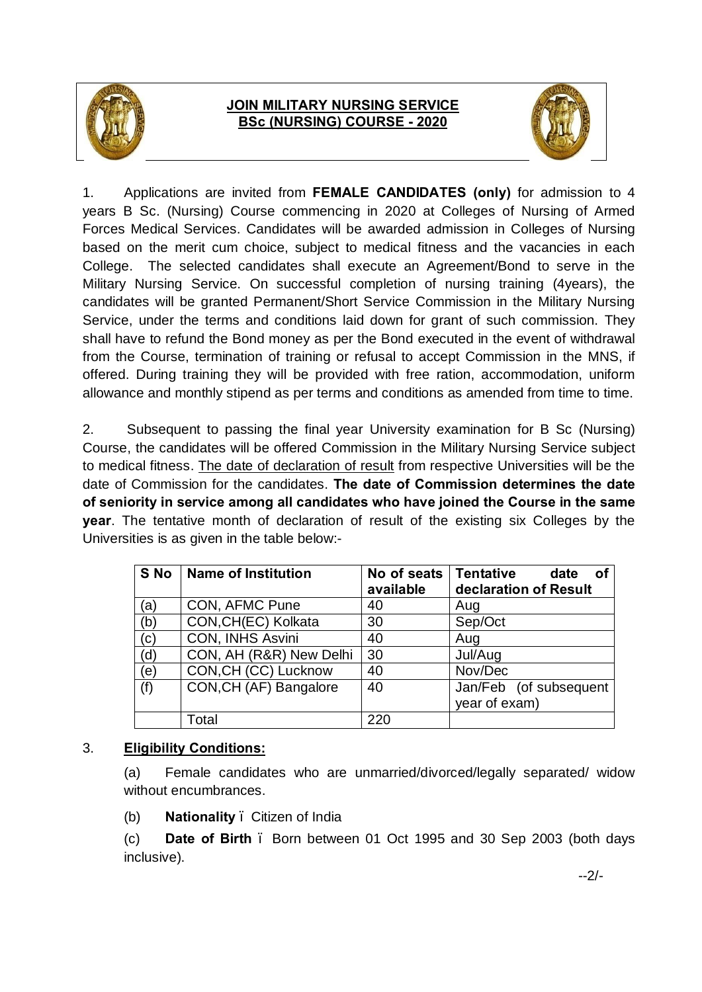

## **JOIN MILITARY NURSING SERVICE BSc (NURSING) COURSE - 2020**



1. Applications are invited from **FEMALE CANDIDATES (only)** for admission to 4 years B Sc. (Nursing) Course commencing in 2020 at Colleges of Nursing of Armed Forces Medical Services. Candidates will be awarded admission in Colleges of Nursing based on the merit cum choice, subject to medical fitness and the vacancies in each College. The selected candidates shall execute an Agreement/Bond to serve in the Military Nursing Service. On successful completion of nursing training (4years), the candidates will be granted Permanent/Short Service Commission in the Military Nursing Service, under the terms and conditions laid down for grant of such commission. They shall have to refund the Bond money as per the Bond executed in the event of withdrawal from the Course, termination of training or refusal to accept Commission in the MNS, if offered. During training they will be provided with free ration, accommodation, uniform allowance and monthly stipend as per terms and conditions as amended from time to time.

2. Subsequent to passing the final year University examination for B Sc (Nursing) Course, the candidates will be offered Commission in the Military Nursing Service subject to medical fitness. The date of declaration of result from respective Universities will be the date of Commission for the candidates. **The date of Commission determines the date of seniority in service among all candidates who have joined the Course in the same year**. The tentative month of declaration of result of the existing six Colleges by the Universities is as given in the table below:-

| $S$ No | <b>Name of Institution</b> | No of seats<br>available | <b>Tentative</b><br>date<br>οf<br>declaration of Result |
|--------|----------------------------|--------------------------|---------------------------------------------------------|
| (a)    | CON, AFMC Pune             | 40                       | Aug                                                     |
| (b)    | CON, CH(EC) Kolkata        | 30                       | Sep/Oct                                                 |
| (c)    | <b>CON, INHS Asvini</b>    | 40                       | Aug                                                     |
| (d)    | CON, AH (R&R) New Delhi    | 30                       | Jul/Aug                                                 |
| (e)    | CON, CH (CC) Lucknow       | 40                       | Nov/Dec                                                 |
| (f)    | CON, CH (AF) Bangalore     | 40                       | Jan/Feb (of subsequent                                  |
|        |                            |                          | year of exam)                                           |
|        | Total                      | 220                      |                                                         |

## 3. **Eligibility Conditions:**

(a) Female candidates who are unmarried/divorced/legally separated/ widow without encumbrances.

(b) **Nationality** – Citizen of India

(c) **Date of Birth** – Born between 01 Oct 1995 and 30 Sep 2003 (both days inclusive).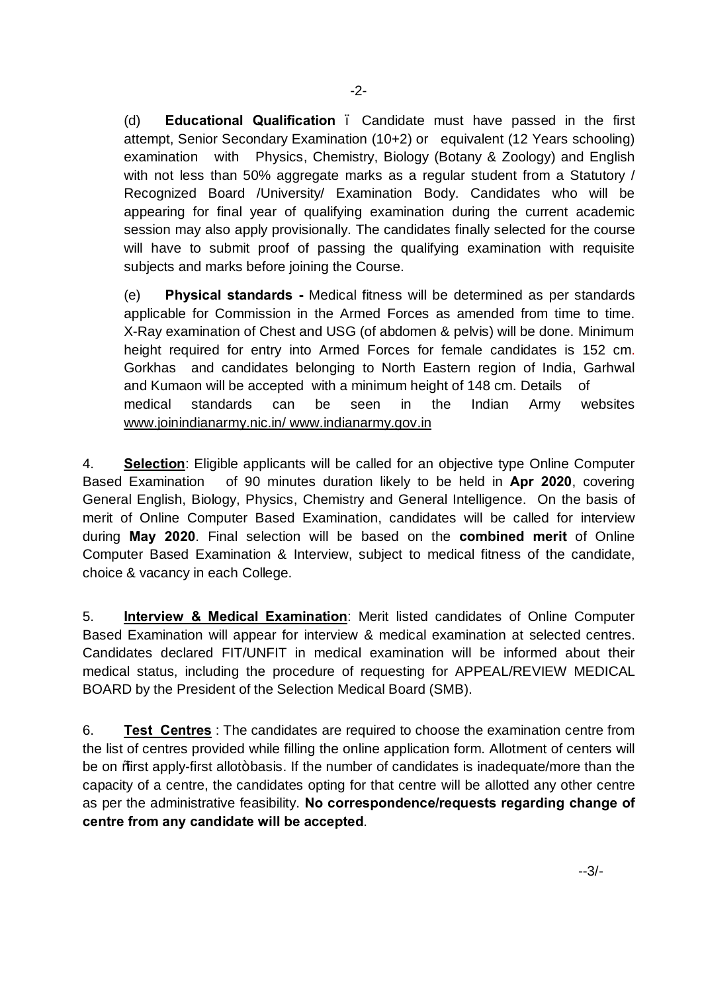(d) **Educational Qualification** – Candidate must have passed in the first attempt, Senior Secondary Examination (10+2) or equivalent (12 Years schooling) examination with Physics, Chemistry, Biology (Botany & Zoology) and English with not less than 50% aggregate marks as a regular student from a Statutory / Recognized Board /University/ Examination Body. Candidates who will be appearing for final year of qualifying examination during the current academic session may also apply provisionally. The candidates finally selected for the course will have to submit proof of passing the qualifying examination with requisite subjects and marks before joining the Course.

(e) **Physical standards -** Medical fitness will be determined as per standards applicable for Commission in the Armed Forces as amended from time to time. X-Ray examination of Chest and USG (of abdomen & pelvis) will be done. Minimum height required for entry into Armed Forces for female candidates is 152 cm. Gorkhas and candidates belonging to North Eastern region of India, Garhwal [and Kumaon will be accepted with a minimum height o](http://www.joinindianarmy.nic.in/ www.indianarmy.gov.in)f 148 cm. Details of medical standards can be seen in the Indian Army websites www.joinindianarmy.nic.in/ www.indianarmy.gov.in

4. **Selection**: Eligible applicants will be called for an objective type Online Computer Based Examination of 90 minutes duration likely to be held in **Apr 2020**, covering General English, Biology, Physics, Chemistry and General Intelligence. On the basis of merit of Online Computer Based Examination, candidates will be called for interview during **May 2020**. Final selection will be based on the **combined merit** of Online Computer Based Examination & Interview, subject to medical fitness of the candidate, choice & vacancy in each College.

5. **Interview & Medical Examination**: Merit listed candidates of Online Computer Based Examination will appear for interview & medical examination at selected centres. Candidates declared FIT/UNFIT in medical examination will be informed about their medical status, including the procedure of requesting for APPEAL/REVIEW MEDICAL BOARD by the President of the Selection Medical Board (SMB).

6. **Test Centres** : The candidates are required to choose the examination centre from the list of centres provided while filling the online application form. Allotment of centers will be on % arst apply-first allot+basis. If the number of candidates is inadequate/more than the capacity of a centre, the candidates opting for that centre will be allotted any other centre as per the administrative feasibility. **No correspondence/requests regarding change of centre from any candidate will be accepted**.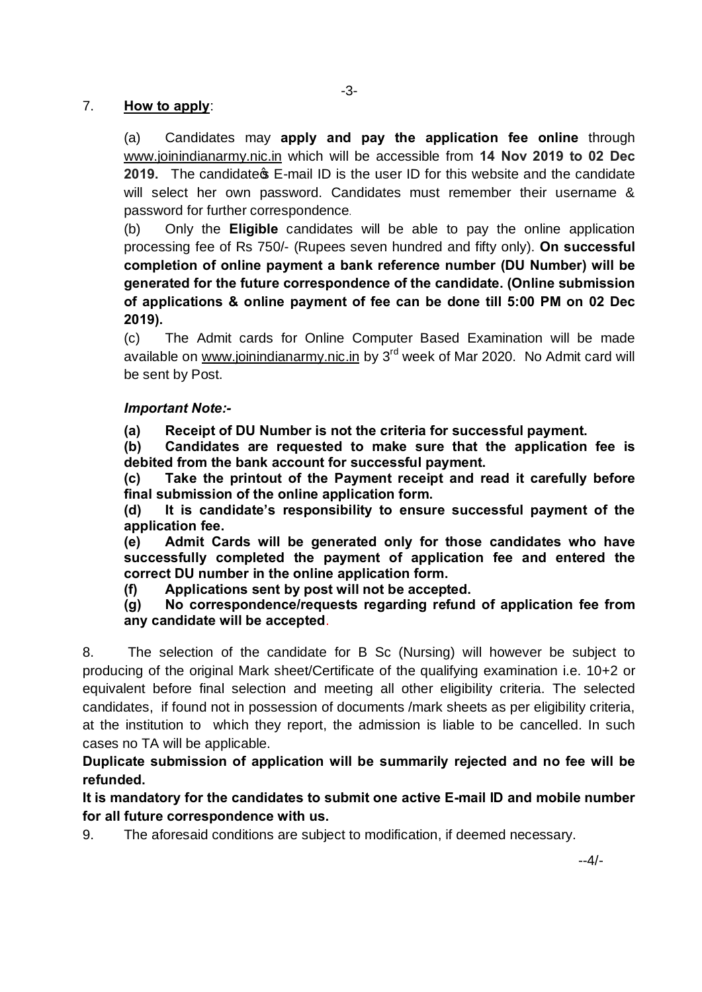## 7. **[How to apply](http://www.joinindianarmy.nic/)**:

(a) Candidates may **apply and pay the application fee online** through www.joinindianarmy.nic.in which will be accessible from **14 Nov 2019 to 02 Dec 2019.** The candidate **s** E-mail ID is the user ID for this website and the candidate will select her own password. Candidates must remember their username & password for further correspondence.

(b) Only the **Eligible** candidates will be able to pay the online application processing fee of Rs 750/- (Rupees seven hundred and fifty only). **On successful completion of online payment a bank reference number (DU Number) will be generated for the future correspondence of the candidate. (Online submission of applications & online payment of fee can be done till 5:00 PM on 02 Dec 2019).**

(c) The Admit cards for Online Computer Based Examination will be made available on www.joinindianarmy.nic.in by 3<sup>rd</sup> week of Mar 2020. No Admit card will be sent by Post.

## *Important Note:-*

**(a) Receipt of DU Number is not the criteria for successful payment.**

**(b) Candidates are requested to make sure that the application fee is debited from the bank account for successful payment.**

**(c) Take the printout of the Payment receipt and read it carefully before final submission of the online application form.**

**(d) It is candidate's responsibility to ensure successful payment of the application fee.**

**(e) Admit Cards will be generated only for those candidates who have successfully completed the payment of application fee and entered the correct DU number in the online application form.**

**(f) Applications sent by post will not be accepted.** 

**(g) No correspondence/requests regarding refund of application fee from any candidate will be accepted**.

8. The selection of the candidate for B Sc (Nursing) will however be subject to producing of the original Mark sheet/Certificate of the qualifying examination i.e. 10+2 or equivalent before final selection and meeting all other eligibility criteria. The selected candidates, if found not in possession of documents /mark sheets as per eligibility criteria, at the institution to which they report, the admission is liable to be cancelled. In such cases no TA will be applicable.

**Duplicate submission of application will be summarily rejected and no fee will be refunded.**

**It is mandatory for the candidates to submit one active E-mail ID and mobile number for all future correspondence with us.**

9. The aforesaid conditions are subject to modification, if deemed necessary.